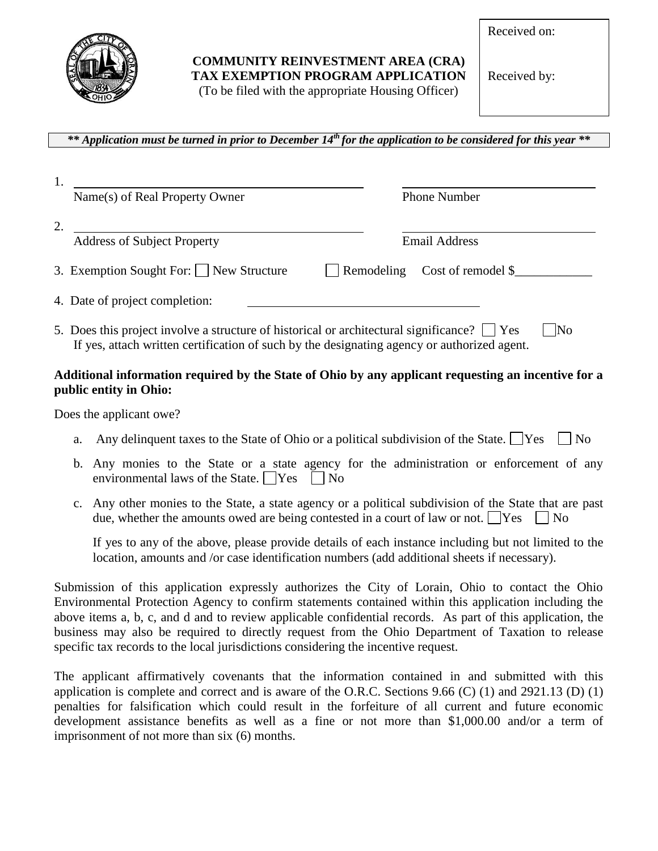

## **COMMUNITY REINVESTMENT AREA (CRA) TAX EXEMPTION PROGRAM APPLICATION** (To be filed with the appropriate Housing Officer)

Received on:

Received by:

*\*\* Application must be turned in prior to December 14th for the application to be considered for this year \*\**

| Name(s) of Real Property Owner                                                                                                                                                                  | <b>Phone Number</b>                  |
|-------------------------------------------------------------------------------------------------------------------------------------------------------------------------------------------------|--------------------------------------|
|                                                                                                                                                                                                 |                                      |
| <b>Address of Subject Property</b>                                                                                                                                                              | <b>Email Address</b>                 |
| 3. Exemption Sought For: New Structure                                                                                                                                                          | $\Box$ Remodeling Cost of remodel \$ |
| 4. Date of project completion:                                                                                                                                                                  |                                      |
| 5. Does this project involve a structure of historical or architectural significance? $\Box$ Yes<br>If yes, attach written certification of such by the designating agency or authorized agent. | $\overline{\rm No}$                  |

## **Additional information required by the State of Ohio by any applicant requesting an incentive for a public entity in Ohio:**

Does the applicant owe?

- a. Any delinquent taxes to the State of Ohio or a political subdivision of the State.  $\begin{array}{|l|} \hline \end{array}$  Yes  $\begin{array}{|l|} \hline \end{array}$
- b. Any monies to the State or a state agency for the administration or enforcement of any environmental laws of the State.  $\Box$  Yes  $\Box$  No
- c. Any other monies to the State, a state agency or a political subdivision of the State that are past due, whether the amounts owed are being contested in a court of law or not.  $\begin{array}{c|c|c|c} \n\hline\n\end{array}$  No

If yes to any of the above, please provide details of each instance including but not limited to the location, amounts and /or case identification numbers (add additional sheets if necessary).

Submission of this application expressly authorizes the City of Lorain, Ohio to contact the Ohio Environmental Protection Agency to confirm statements contained within this application including the above items a, b, c, and d and to review applicable confidential records. As part of this application, the business may also be required to directly request from the Ohio Department of Taxation to release specific tax records to the local jurisdictions considering the incentive request.

The applicant affirmatively covenants that the information contained in and submitted with this application is complete and correct and is aware of the O.R.C. Sections 9.66 (C) (1) and 2921.13 (D) (1) penalties for falsification which could result in the forfeiture of all current and future economic development assistance benefits as well as a fine or not more than \$1,000.00 and/or a term of imprisonment of not more than six (6) months.